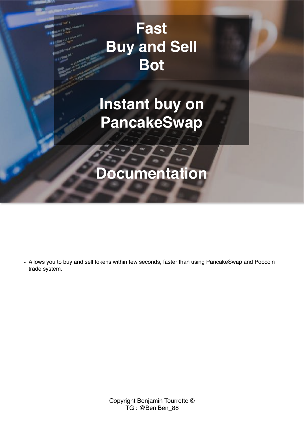# **Fast Buy and Sell Bot**

# **Instant buy on PancakeSwap**

# **Documentation**

• Allows you to buy and sell tokens within few seconds, faster than using PancakeSwap and Poocoin trade system.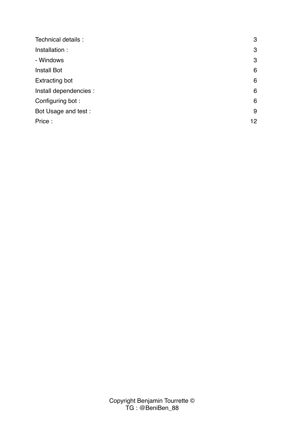| Technical details :    | 3  |
|------------------------|----|
| Installation:          | 3  |
| - Windows              | 3  |
| <b>Install Bot</b>     | 6  |
| <b>Extracting bot</b>  | 6  |
| Install dependencies : | 6  |
| Configuring bot:       | 6  |
| Bot Usage and test :   | 9  |
| Price:                 | 12 |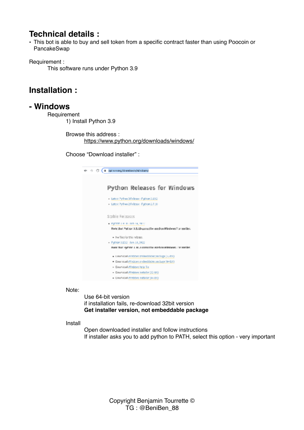## <span id="page-2-0"></span>**Technical details :**

• This bot is able to buy and sell token from a specific contract faster than using Poocoin or PancakeSwap

Requirement :

This software runs under Python 3.9

## <span id="page-2-1"></span>**Installation :**

### <span id="page-2-2"></span>**- Windows**

**Requirement** 

1) Install Python 3.9

Browse this address : <https://www.python.org/downloads/windows/>

Choose "Download installer" :

| $\Rightarrow$ $C$ (a quisines/diverse in/wisdom)                    |
|---------------------------------------------------------------------|
|                                                                     |
| Python Releases for Windows                                         |
| - Latest Pythee 3 Februar - Python 3,10.2                           |
| · Latest Pythee 2 Felesse, Python 2.7.18                            |
|                                                                     |
| Stable Relaases                                                     |
| · Patter cie in con la reco-                                        |
| Note that Puthor 3.1.10 connective used on Windows 7 or earlier.    |
| - No files for this release.                                        |
| - Fython 3.83.2 - Park 14, 2022                                     |
| Here that Hyphne 1. BLJ connective interiors windered / or partier. |
| . L'avanicadi avindeves embacidable package [svibit]                |
| · Dawnicad (Pindows ambroidable package (644.00)                    |
| - Dawnicad Mindows help file                                        |
| - Dawnicad Mindows Installer [22-bit]                               |
| - Dewniced mindows installer (64-51)                                |

Note:

Use 64-bit version if installation fails, re-download 32bit version **Get installer version, not embeddable package** 

#### Install

Open downloaded installer and follow instructions If installer asks you to add python to PATH, select this option - very important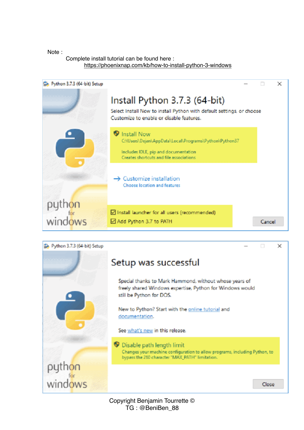#### Note :

windows

#### Complete install tutorial can be found here : <https://phoenixnap.com/kb/how-to-install-python-3-windows>



Close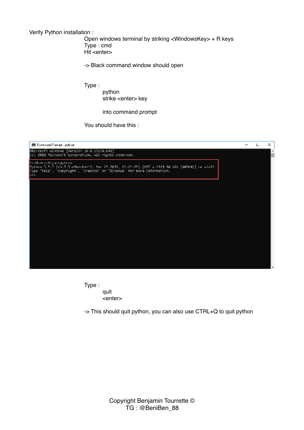Verify Python installation :

Open windows terminal by striking <WindowsKey> + R keys Type : cmd Hit <enter>

-> Black command window should open

Type :

python strike <enter> key

into command prompt

You should have this :



Type : quit <enter>

-> This should quit python, you can also use CTRL+Q to quit python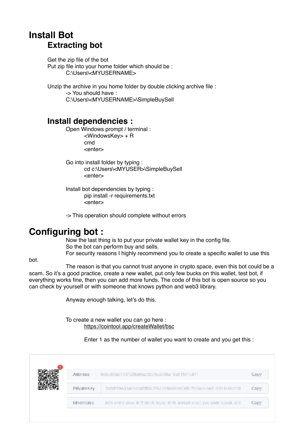# <span id="page-5-1"></span><span id="page-5-0"></span>**Install Bot Extracting bot**

Get the zip file of the bot Put zip file into your home folder which should be : C:\Users\<MYUSERNAME>

Unzip the archive in you home folder by double clicking archive file : -> You should have : C:\Users\<MYUSERNAME>\SimpleBuySell

### <span id="page-5-2"></span>**Install dependencies :**

Open Windows prompt / terminal : <WindowsKey> + R cmd <enter>

Go into install folder by typing : cd c:\Users\<MYUSER>\SimpleBuySell <enter>

Install bot dependencies by typing : pip install -r requirements.txt <enter>

-> This operation should complete without errors

## <span id="page-5-3"></span>**Configuring bot :**

Now the last thing is to put your private wallet key in the config file. So the bot can perform buy and sells. For security reasons I highly recommend you to create a specific wallet to use this

bot.

The reason is that you cannot trust anyone in crypto space, even this bot could be a scam. So it's a good practice, create a new wallet, put only few bucks on this wallet, test bot, if everything works fine, then you can add more funds. The code of this bot is open source so you can check by yourself or with someone that knows python and web3 library.

Anyway enough talking, let's do this.

To create a new wallet you can go here : <https://cointool.app/createWallet/bsc>

Enter 1 as the number of wallet you want to create and you get this :

| <b>Address</b> | 0xfed60a07d5129be6ad3d78cd048a18a51591c871                                | Copy |
|----------------|---------------------------------------------------------------------------|------|
| PrivateKey     | 0xh9f19e33a5946d5ffd42762c9f6b0bbeDd91fe16c34oe5185a1ce6d15L              | Copy |
| Mnemonic       | now crime olive drift stock found birth lawsuit erupt eye code speak una- | Copy |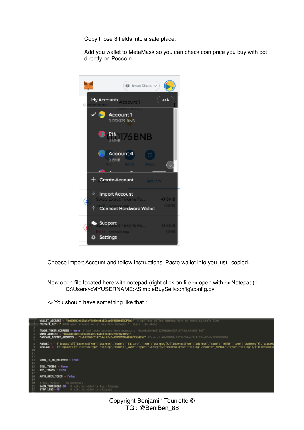Copy those 3 fields into a safe place.

Add you wallet to MetaMask so you can check coin price you buy with bot directly on Poocoin.



Choose import Account and follow instructions. Paste wallet info you just copied.

Now open file located here with notepad (right click on file -> open with -> Notepad) : C:\Users\<MYUSERNAME>\SimpleBuySell\config\config.py

-> You should have something like that :

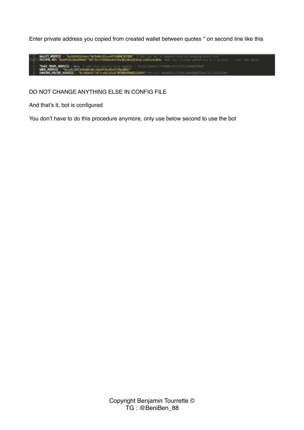Enter private address you copied from created wallet between quotes '' on second line like this

WALLET MODRESS = "DeSDOODSLAGAGETSMTHABERDGepoRTECOOMEDOTODO" | Add Your Willet Address here by removing who<br>|PRIVATE\_NEW="RADdf13e33b504045ff642762c5ff666be0c51fe10c34cx5135ates5d15a4ed64e" /Add your private wallet key TRADE\_TEMEN\_ACERESS - None \_TOKON\_WEDDESS = Wang<br>WEDDESS = "PasawicsOSCAD George Constant Constant Constant" = "Design"<br>ME\_MOUTEM\_AJONESS = "BRIBEDHIG"14:114:15:05:05:07:07:0054709E255324E"

#### DO NOT CHANGE ANYTHING ELSE IN CONFIG FILE

And that's it, bot is configured

You don't have to do this procedure anymore, only use below second to use the bot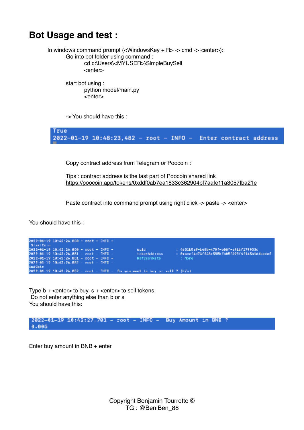# <span id="page-8-0"></span>**Bot Usage and test :**

In windows command prompt (<WindowsKey + R> -> cmd -> <enter>): Go into bot folder using command : cd c:\Users\<MYUSER>\SimpleBuySell <enter>

> start bot using : python model/main.py <enter>

-> You should have this :

True 2022-01-19 10:48:23,482 - root - INFO - Enter contract address

Copy contract address from Telegram or Poocoin :

Tips : contract address is the last part of Poocoin shared link <https://poocoin.app/tokens/0xddf0ab7ea1833c362904bf7aafe11a3057fba21e>

Paste contract into command prompt using right click -> paste -> <enter>

You should have this :

| $2022 - 01 - 19$ $10:42:26.850 - root -$ DNFO -   |  |  |                                                                                           |                                               |
|---------------------------------------------------|--|--|-------------------------------------------------------------------------------------------|-----------------------------------------------|
| StartCoin                                         |  |  |                                                                                           |                                               |
| $2022 - 01 - 19$ $10142 : 26.850 -$ root - DNFO - |  |  | uuid.                                                                                     | : 4651b5af-b48b-479f-b88f-a91bf279953c        |
| 2022-01-19 10:42:26.851 - root - INFO             |  |  | token Address                                                                             | : Bracciféc74ff48c585bfb85f498f6f145b1ddacdmf |
| $2022 - 01 - 19$ $10142:26.851 - root - UNFD -$   |  |  | RefreshRate                                                                               | t Nome                                        |
| 2022-01-19 10:42:26.852 - root - INFO             |  |  |                                                                                           |                                               |
| EndCoin                                           |  |  |                                                                                           |                                               |
|                                                   |  |  | $2022 - 01 - 12 - 43 + 42 + 26$ , 852 - roct - ENFO - De you want to buy or sell ? (b/s). |                                               |

Type  $b +$  <enter> to buy,  $s +$  <enter> to sell tokens Do not enter anything else than b or s You should have this:

2022-01-19 10:42:27,701 - root - INFO - Buy Amount in BNB ?  $0.005$ 

Enter buy amount in BNB + enter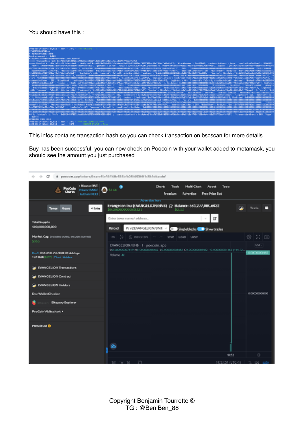#### You should have this :

| <b>FOR A 21-YOF ON THE TALKER - FROM - 1990.</b> - 1999 1991 1992 19                                                                                                                                                                                                                                                                                                                                                                                                                                                    |
|-------------------------------------------------------------------------------------------------------------------------------------------------------------------------------------------------------------------------------------------------------------------------------------------------------------------------------------------------------------------------------------------------------------------------------------------------------------------------------------------------------------------------|
| <b>LYEA MPDESLED LISTEN</b>                                                                                                                                                                                                                                                                                                                                                                                                                                                                                             |
| <b>B. M. POLLBYCARELLINES</b>                                                                                                                                                                                                                                                                                                                                                                                                                                                                                           |
| Booking amount in the MO.                                                                                                                                                                                                                                                                                                                                                                                                                                                                                               |
| WEST TRAFFLORES ALSO WEST LIVING TO A MAIN SCALE T                                                                                                                                                                                                                                                                                                                                                                                                                                                                      |
|                                                                                                                                                                                                                                                                                                                                                                                                                                                                                                                         |
|                                                                                                                                                                                                                                                                                                                                                                                                                                                                                                                         |
| mmm Reselvi Attolici (Statifikim Anche) (Health and The ADITACTIONALIS (Statifical Statifical Statifical Statifical Statifical Statifical Statifical Statifical Statifical Statifical Statifical Statifical Statifical Statifi<br>"INFORMATION CONTINUES INTO THE RESERVE THE RESERVE TO A 2005 THE RELEASED OF THE CONTINUES. THE CONTINUES OF THE CONTINUES INTO THE RELEASED OF THE STATE OF THE RELEASED OF THE STATE OF THE RELEASED OF THE RELEASED OF THE<br><b>LIMITATION SECOND PROJECTION AND ARRANGEMENT</b> |
| REFERENTIATIONS AND RESERVATION OF CONTRACT CONTRACTOR CONTRACTOR CONTRACTOR INTO A SUBSIDIATE CONTRACTOR CONTRACTOR CONTRACTOR CONTRACTOR CONTRACTOR CONTRACTOR CONTRACTOR CONTRACTO AND A CONTRACTOR OF CONTRACTOR OF CONTRA                                                                                                                                                                                                                                                                                          |
|                                                                                                                                                                                                                                                                                                                                                                                                                                                                                                                         |
| Jahrena (1978) Partia (1978) (2130-11), 'La Televis' (61, 'Lameral', Balant), Asia Ann (1948) ("abbass", "babbella (1984) (1984-1987) (215-1985)                                                                                                                                                                                                                                                                                                                                                                        |
| ANYONE CALL TO CROSS CRIMINAL CROWN CONTRACTOR CALL TA SERVICE CONTRACTOR CONTRACTOR (CALL) [2]                                                                                                                                                                                                                                                                                                                                                                                                                         |
| ent: Ne <b>ntalanterhaltelentalienenalanterhaltentalantalanter</b> , hispkeuterin 1620002, hoemarierhalt: haltentille (1720sb10221sb10221sb10221sb10221sb10221sb10225sb10225sb1020sb10201sb10201sb1020121sb1030sb10201sb1030sb1030sb1                                                                                                                                                                                                                                                                                   |
|                                                                                                                                                                                                                                                                                                                                                                                                                                                                                                                         |
| remartialment 20, tiadrach kalendtroftasC20.7C6201/Chicaalb012.C1C01.a702C21.c0212LiduCab21, tiadrata (AL transact fol. trail), Atribut Galiletti (Alant), tiadram (1964).                                                                                                                                                                                                                                                                                                                                              |
| STMMMELBERGERMANNTENDER FERRIERUNGSTRAGTERUNGSTRAGTEN (STERNENSTEINSTEINSTEIN) SEINER TEXTEL TR. SIERUNG TEXTEL TR. SIERUNG FRAGGERMANN FRAGGERMANNEN SEINER TEXTEL SEINER EINE ERREICHNER ERREICHNER ERREICHNER ERREICHNER ER                                                                                                                                                                                                                                                                                          |
| N NAVARENMENTARY REPORTED THE ENTERTAINMENT AREAS (THE SECTION )   TELECT TEXAS REPORTED AND REPORTED AN USE AND STREET SECTION OF A SECTION OF THE SECTION OF A SECTION OF A SECTION OF A SECTION OF A SECTION OF A SECTION O                                                                                                                                                                                                                                                                                          |
| s[*Bud17f2ubs17fBbf61uSLushJPfLbf7J8fFB86isAa66fa79DfBssJRA6Ff; *transatdasinfnaff 200, *blashtadff bollytal-YesisHRbf86blFBb8Aa6aaadisLBGaFGG8Bbbf9DG7B0fustGAGLusfal2ebsff, flagfmbssf                                                                                                                                                                                                                                                                                                                                |
| 405. "comment": Pubor31. Attributedia: [Traicosa": NeiMANAA1NO6AN1INGAN1INGANTANAA". "topica": INvibera ("helpsic"industributed")Delta ("120712440authelmated")Delta[A14111124211124211112421111. "color": "fra                                                                                                                                                                                                                                                                                                         |
|                                                                                                                                                                                                                                                                                                                                                                                                                                                                                                                         |
| REGISSINGSTRATEGORIANSIALISTEN ("ISLAMINAT), "TELNINGSTRATEGORI" (W), "K)SENINGS" NETWORF FRONTELENDER FRONT FRONT FRONT FRONT FRONT FRONT FRONT FRONT FRONT FRONT FRONT ("), ") SUPPORT 2 NA - TERRORISM AND                                                                                                                                                                                                                                                                                                           |
| all, Wielandia-Hitamaati inführitikkutetatuttivelmissiehtiteerdit, itadaali [ibdyaatib/tatificationisticitediteerditeerditeerditeerditeerditeerditeerditeerditeerditeerditeerditeerditeerditeerditeerditeerditeerditeerditeerd                                                                                                                                                                                                                                                                                          |
|                                                                                                                                                                                                                                                                                                                                                                                                                                                                                                                         |
| READ AND VEHICLES AND VEHICLES AND VEHICLES ASSESSMENT ST. TENNIS WEIGHT AND VEHICLES AND VEHICLES AND VEHICLES AT A STATUTE AND VEHICLES AND VEHICLES AND VEHICLES AND VEHICLES AND VEHICLES AND VEHICLES AND VEHICLES AND VE                                                                                                                                                                                                                                                                                          |
|                                                                                                                                                                                                                                                                                                                                                                                                                                                                                                                         |
| anaris LIMMOT, there arized able Hadybari ta MOSS adaMisika (Majiti Mikiti Mikika Adala) (CMMOT, tracacta Labari Mikika ta Mikabikati Majitar                                                                                                                                                                                                                                                                                                                                                                           |
| Education 744 Star 08 a UT Like Fact 74 BaS 1                                                                                                                                                                                                                                                                                                                                                                                                                                                                           |
|                                                                                                                                                                                                                                                                                                                                                                                                                                                                                                                         |
|                                                                                                                                                                                                                                                                                                                                                                                                                                                                                                                         |
| 897, Schuler S. Marty (NASER-SONESLANDSER-SECONDICATION), Special Schuler Endybool Schulers/Second Schulers/Schulers/Schulers/Schulers/Schulers/Schulers/Schulers/Schulers/Schulers/Schulers/Schulers/Schulers/Schulers/Schule<br>10mm (PTS)                                                                                                                                                                                                                                                                            |
| <b>BRINISH CAN STO.</b>                                                                                                                                                                                                                                                                                                                                                                                                                                                                                                 |
|                                                                                                                                                                                                                                                                                                                                                                                                                                                                                                                         |
| TRANSPORTED IN THE THE REAL PROPERTY IN THE 24 YOMA STEEL FEMALE CONSULTANCE                                                                                                                                                                                                                                                                                                                                                                                                                                            |
| <b>SINTE</b><br><b>BRIGHT ETATURE &amp; Times</b><br>2402 31 14 M old 35,815 root                                                                                                                                                                                                                                                                                                                                                                                                                                       |
|                                                                                                                                                                                                                                                                                                                                                                                                                                                                                                                         |

This infos contains transaction hash so you can check transaction on bscscan for more details.

Buy has been successful, you can now check on Poocoin with your wallet added to metamask, you should see the amount you just purchased

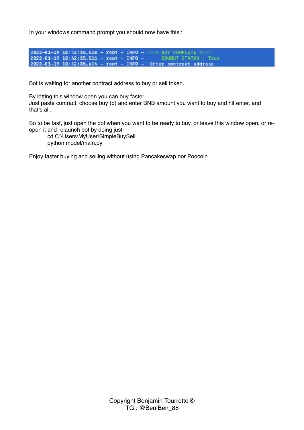In your windows command prompt you should now have this :



Bot is waiting for another contract address to buy or sell token.

By letting this window open you can buy faster.

Just paste contract, choose buy (b) and enter BNB amount you want to buy and hit enter, and that's all.

So to be fast, just open the bot when you want to be ready to buy, or leave this window open, or reopen it and relaunch bot by doing just :

cd C:\Users\MyUser\SimpleBuySell python model/main.py

Enjoy faster buying and selling without using Pancakeswap nor Poocoin